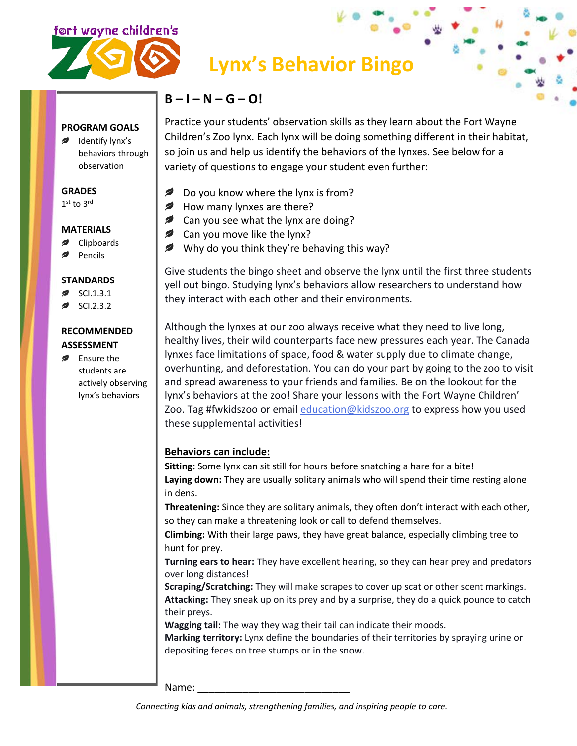



# **Lynx's Behavior Bingo**

# **B – I – N – G – O!**

Practice your students' observation skills as they learn about the Fort Wayne Children's Zoo lynx. Each lynx will be doing something different in their habitat, so join us and help us identify the behaviors of the lynxes. See below for a variety of questions to engage your student even further:

- $\epsilon$ Do you know where the lynx is from?
- How many lynxes are there?
- **2** Can you see what the lynx are doing?
- *,* Can you move like the lynx?
- Why do you think they're behaving this way?

Give students the bingo sheet and observe the lynx until the first three students yell out bingo. Studying lynx's behaviors allow researchers to understand how they interact with each other and their environments.

Although the lynxes at our zoo always receive what they need to live long, healthy lives, their wild counterparts face new pressures each year. The Canada lynxes face limitations of space, food & water supply due to climate change, overhunting, and deforestation. You can do your part by going to the zoo to visit and spread awareness to your friends and families. Be on the lookout for the lynx's behaviors at the zoo! Share your lessons with the Fort Wayne Children' Zoo. Tag #fwkidszoo or email [education@kidszoo.org](mailto:education@kidszoo.org) to express how you used these supplemental activities!

# **Behaviors can include:**

**Sitting:** Some lynx can sit still for hours before snatching a hare for a bite! **Laying down:** They are usually solitary animals who will spend their time resting alone in dens.

**Threatening:** Since they are solitary animals, they often don't interact with each other, so they can make a threatening look or call to defend themselves.

**Climbing:** With their large paws, they have great balance, especially climbing tree to hunt for prey.

**Turning ears to hear:** They have excellent hearing, so they can hear prey and predators over long distances!

**Scraping/Scratching:** They will make scrapes to cover up scat or other scent markings. **Attacking:** They sneak up on its prey and by a surprise, they do a quick pounce to catch their preys.

**Wagging tail:** The way they wag their tail can indicate their moods.

**Marking territory:** Lynx define the boundaries of their territories by spraying urine or depositing feces on tree stumps or in the snow.

Name:

**PROGRAM GOALS** Identify lynx's behaviors through observation

#### **GRADES**

 $1<sup>st</sup>$  to  $3<sup>rd</sup>$ 

## **MATERIALS**

- Clipboards
- Pencils

## **STANDARDS**

- SCI.1.3.1
- SCI.2.3.2

# **RECOMMENDED ASSESSMENT**

**Ensure the** students are actively observing lynx's behaviors